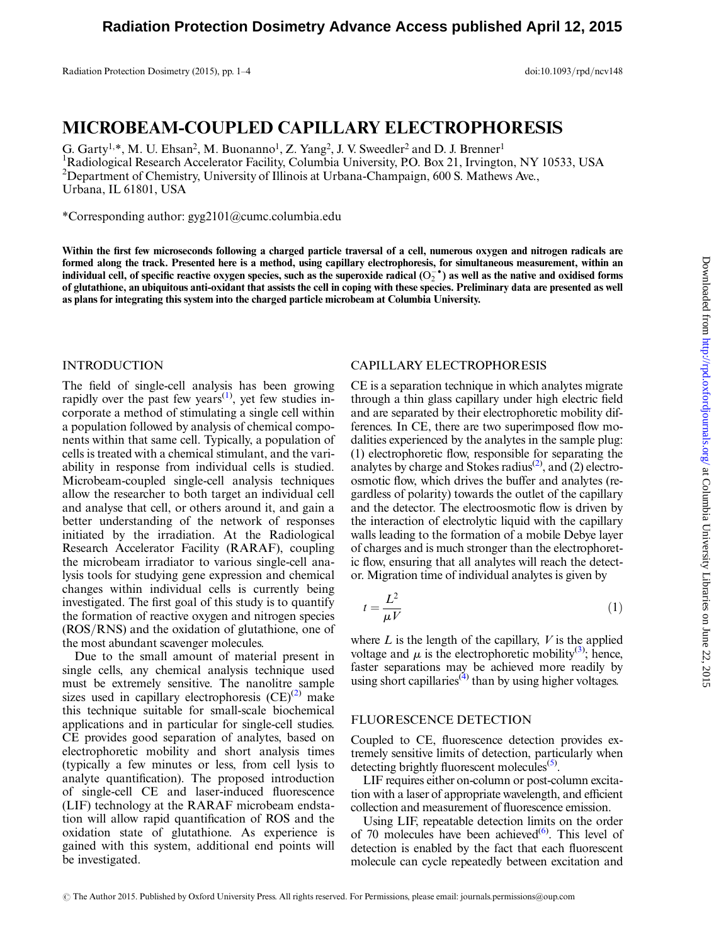# MICROBEAM-COUPLED CAPILLARY ELECTROPHORESIS

G. Garty<sup>1,\*</sup>, M. U. Ehsan<sup>2</sup>, M. Buonanno<sup>1</sup>, Z. Yang<sup>2</sup>, J. V. Sweedler<sup>2</sup> and D. J. Brenner<sup>1</sup> <sup>1</sup>Radiological Research Accelerator Facility, Columbia University, P.O. Box 21, Irvington, NY 10533, USA <sup>2</sup>Department of Chemistry, University of Illinois at Urbana-Champaign, 600 S. Mathews Ave., Urbana, IL 61801, USA

\*Corresponding author: gyg2101@cumc.columbia.edu

Within the first few microseconds following a charged particle traversal of a cell, numerous oxygen and nitrogen radicals are formed along the track. Presented here is a method, using capillary electrophoresis, for simultaneous measurement, within an individual cell, of specific reactive oxygen species, such as the superoxide radical  $(O_2^{\bullet})$  as well as the native and oxidised forms of glutathione, an ubiquitous anti-oxidant that assists the cell in coping with these species. Preliminary data are presented as well as plans for integrating this system into the charged particle microbeam at Columbia University.

### INTRODUCTION

The field of single-cell analysis has been growing rapidly over the past few years<sup> $(1)$  $(1)$ </sup>, yet few studies incorporate a method of stimulating a single cell within a population followed by analysis of chemical components within that same cell. Typically, a population of cells is treated with a chemical stimulant, and the variability in response from individual cells is studied. Microbeam-coupled single-cell analysis techniques allow the researcher to both target an individual cell and analyse that cell, or others around it, and gain a better understanding of the network of responses initiated by the irradiation. At the Radiological Research Accelerator Facility (RARAF), coupling the microbeam irradiator to various single-cell analysis tools for studying gene expression and chemical changes within individual cells is currently being investigated. The first goal of this study is to quantify the formation of reactive oxygen and nitrogen species (ROS/RNS) and the oxidation of glutathione, one of the most abundant scavenger molecules.

Due to the small amount of material present in single cells, any chemical analysis technique used must be extremely sensitive. The nanolitre sample sizes used in capillary electrophoresis  $(CE)^{(2)}$  $(CE)^{(2)}$  $(CE)^{(2)}$  make this technique suitable for small-scale biochemical applications and in particular for single-cell studies. CE provides good separation of analytes, based on electrophoretic mobility and short analysis times (typically a few minutes or less, from cell lysis to analyte quantification). The proposed introduction of single-cell CE and laser-induced fluorescence (LIF) technology at the RARAF microbeam endstation will allow rapid quantification of ROS and the oxidation state of glutathione. As experience is gained with this system, additional end points will be investigated.

# CAPILLARY ELECTROPHORESIS

CE is a separation technique in which analytes migrate through a thin glass capillary under high electric field and are separated by their electrophoretic mobility differences. In CE, there are two superimposed flow modalities experienced by the analytes in the sample plug: (1) electrophoretic flow, responsible for separating the analytes by charge and Stokes radius<sup>[\(2](#page-3-0))</sup>, and (2) electroosmotic flow, which drives the buffer and analytes (regardless of polarity) towards the outlet of the capillary and the detector. The electroosmotic flow is driven by the interaction of electrolytic liquid with the capillary walls leading to the formation of a mobile Debye layer of charges and is much stronger than the electrophoretic flow, ensuring that all analytes will reach the detector. Migration time of individual analytes is given by

$$
t = \frac{L^2}{\mu V} \tag{1}
$$

where  $L$  is the length of the capillary,  $V$  is the applied voltage and  $\mu$  is the electrophoretic mobility<sup>[\(3\)](#page-3-0)</sup>; hence, faster separations may be achieved more readily by using short capillaries<sup>([4](#page-3-0))</sup> than by using higher voltages.

## FLUORESCENCE DETECTION

Coupled to CE, fluorescence detection provides extremely sensitive limits of detection, particularly when detecting brightly fluorescent molecules<sup>([5](#page-3-0))</sup>.

LIF requires either on-column or post-column excitation with a laser of appropriate wavelength, and efficient collection and measurement of fluorescence emission.

Using LIF, repeatable detection limits on the order of 70 molecules have been achieved $(6)$  $(6)$ . This level of detection is enabled by the fact that each fluorescent molecule can cycle repeatedly between excitation and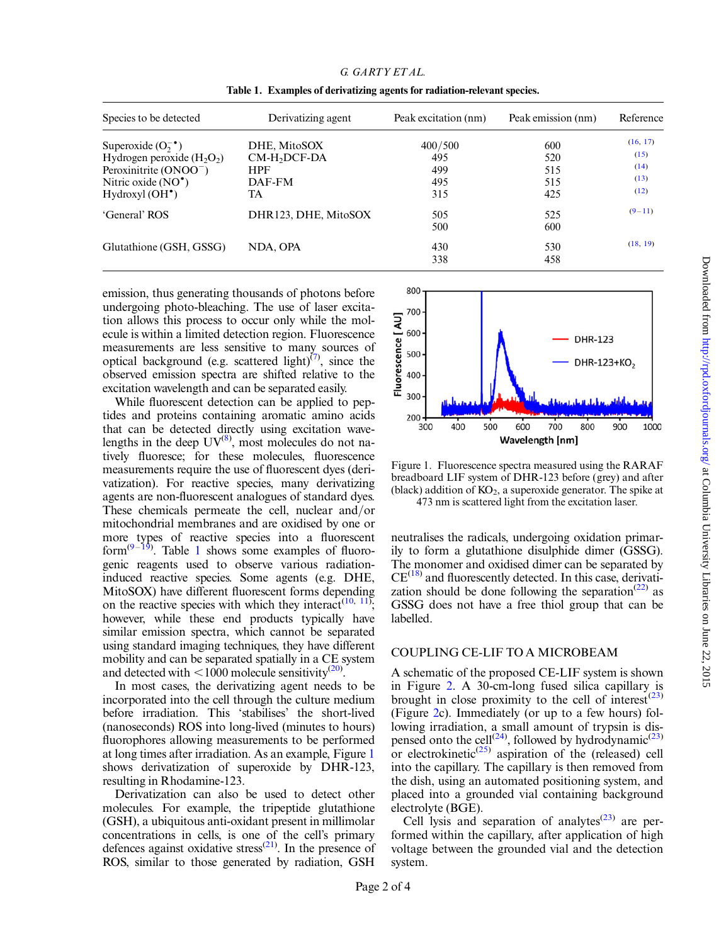$.2015$ 

| Species to be detected        | Derivatizing agent       | Peak excitation (nm) | Peak emission (nm) | Reference |
|-------------------------------|--------------------------|----------------------|--------------------|-----------|
| Superoxide $(O_2^{-\bullet})$ | DHE, MitoSOX             | 400/500              | 600                | (16, 17)  |
| Hydrogen peroxide $(H_2O_2)$  | CM-H <sub>2</sub> DCF-DA | 495                  | 520                | (15)      |
| Peroxinitrite $(ONOO^{-})$    | <b>HPF</b>               | 499                  | 515                | (14)      |
| Nitric oxide $(NO°)$          | DAF-FM                   | 495                  | 515                | (13)      |
| $Hydroxyl(OH*)$               | TA                       | 315                  | 425                | (12)      |
| 'General' ROS                 | DHR123, DHE, MitoSOX     | 505                  | 525                | $(9-11)$  |
|                               |                          | 500                  | 600                |           |
| Glutathione (GSH, GSSG)       | NDA, OPA                 | 430                  | 530                | (18, 19)  |
|                               |                          | 338                  | 458                |           |

G. GARTY ETAL.

Table 1. Examples of derivatizing agents for radiation-relevant species.

emission, thus generating thousands of photons before undergoing photo-bleaching. The use of laser excitation allows this process to occur only while the molecule is within a limited detection region. Fluorescence measurements are less sensitive to many sources of optical background (e.g. scattered light) $(7)$  $(7)$ , since the observed emission spectra are shifted relative to the excitation wavelength and can be separated easily.

While fluorescent detection can be applied to peptides and proteins containing aromatic amino acids that can be detected directly using excitation wavelengths in the deep  $UV^{(8)}$  $UV^{(8)}$  $UV^{(8)}$ , most molecules do not natively fluoresce; for these molecules, fluorescence measurements require the use of fluorescent dyes (derivatization). For reactive species, many derivatizing agents are non-fluorescent analogues of standard dyes. These chemicals permeate the cell, nuclear and/or mitochondrial membranes and are oxidised by one or more types of reactive species into a fluorescent form<sup>[\(9](#page-3-0)–[19\)](#page-3-0)</sup>. Table 1 shows some examples of fluorogenic reagents used to observe various radiationinduced reactive species. Some agents (e.g. DHE, MitoSOX) have different fluorescent forms depending on the reactive species with which they interact<sup>[\(10,](#page-3-0) [11](#page-3-0))</sup>; however, while these end products typically have similar emission spectra, which cannot be separated using standard imaging techniques, they have different mobility and can be separated spatially in a CE system and detected with  $<$  1000 molecule sensitivity<sup>[\(20\)](#page-3-0)</sup>.

In most cases, the derivatizing agent needs to be incorporated into the cell through the culture medium before irradiation. This 'stabilises' the short-lived (nanoseconds) ROS into long-lived (minutes to hours) fluorophores allowing measurements to be performed at long times after irradiation. As an example, Figure 1 shows derivatization of superoxide by DHR-123, resulting in Rhodamine-123.

Derivatization can also be used to detect other molecules. For example, the tripeptide glutathione (GSH), a ubiquitous anti-oxidant present in millimolar concentrations in cells, is one of the cell's primary defences against oxidative stress<sup>[\(21\)](#page-3-0)</sup>. In the presence of ROS, similar to those generated by radiation, GSH



Figure 1. Fluorescence spectra measured using the RARAF breadboard LIF system of DHR-123 before (grey) and after (black) addition of  $KO<sub>2</sub>$ , a superoxide generator. The spike at

473 nm is scattered light from the excitation laser.

neutralises the radicals, undergoing oxidation primarily to form a glutathione disulphide dimer (GSSG). The monomer and oxidised dimer can be separated by  $CE^{(18)}$  $CE^{(18)}$  $CE^{(18)}$  and fluorescently detected. In this case, derivatization should be done following the separation<sup> $(22)$  $(22)$  $(22)$ </sup> as GSSG does not have a free thiol group that can be labelled.

# COUPLING CE-LIF TO A MICROBEAM

A schematic of the proposed CE-LIF system is shown in Figure [2](#page-2-0). A 30-cm-long fused silica capillary is brought in close proximity to the cell of interest $(23)$  $(23)$ (Figure [2](#page-2-0)c). Immediately (or up to a few hours) following irradiation, a small amount of trypsin is dis-pensed onto the cell<sup>([24](#page-3-0))</sup>, followed by hydrodynamic<sup>([23\)](#page-3-0)</sup> or electrokinetic<sup>([25](#page-3-0))</sup> aspiration of the (released) cell into the capillary. The capillary is then removed from the dish, using an automated positioning system, and placed into a grounded vial containing background electrolyte (BGE).

Cell lysis and separation of analytes $(23)$  $(23)$  are performed within the capillary, after application of high voltage between the grounded vial and the detection system.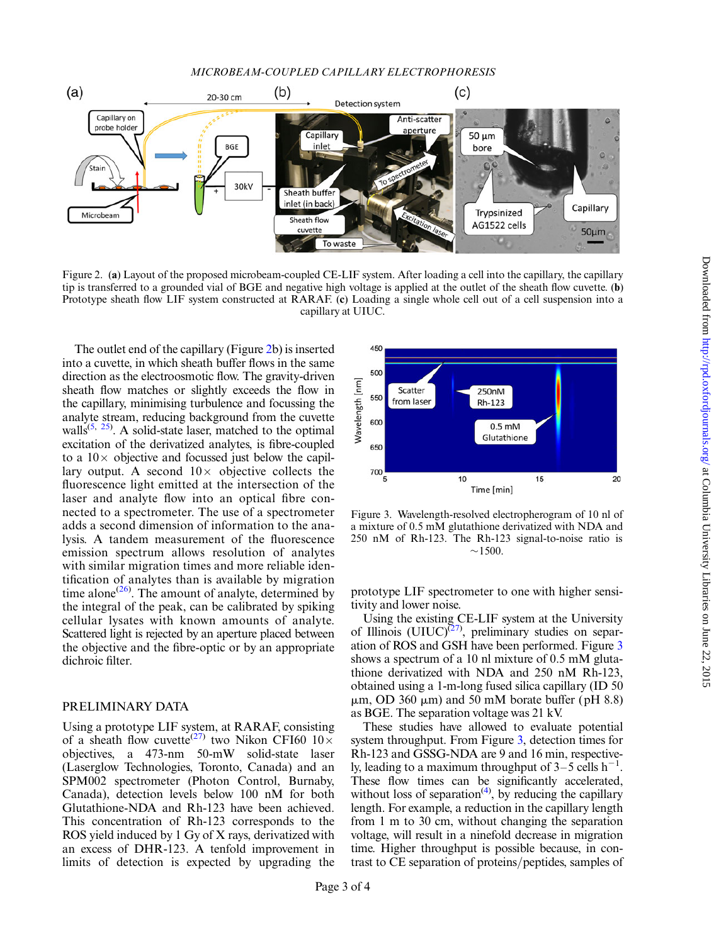

<span id="page-2-0"></span>

Figure 2. (a) Layout of the proposed microbeam-coupled CE-LIF system. After loading a cell into the capillary, the capillary tip is transferred to a grounded vial of BGE and negative high voltage is applied at the outlet of the sheath flow cuvette. (b) Prototype sheath flow LIF system constructed at RARAF. (c) Loading a single whole cell out of a cell suspension into a capillary at UIUC.

The outlet end of the capillary (Figure 2b) is inserted into a cuvette, in which sheath buffer flows in the same direction as the electroosmotic flow. The gravity-driven sheath flow matches or slightly exceeds the flow in the capillary, minimising turbulence and focussing the analyte stream, reducing background from the cuvette walls<sup>([5,](#page-3-0) [25](#page-3-0))</sup>. A solid-state laser, matched to the optimal excitation of the derivatized analytes, is fibre-coupled to a  $10\times$  objective and focussed just below the capillary output. A second  $10\times$  objective collects the fluorescence light emitted at the intersection of the laser and analyte flow into an optical fibre connected to a spectrometer. The use of a spectrometer adds a second dimension of information to the analysis. A tandem measurement of the fluorescence emission spectrum allows resolution of analytes with similar migration times and more reliable identification of analytes than is available by migration time alone<sup>([26\)](#page-3-0)</sup>. The amount of analyte, determined by the integral of the peak, can be calibrated by spiking cellular lysates with known amounts of analyte. Scattered light is rejected by an aperture placed between the objective and the fibre-optic or by an appropriate dichroic filter.

### PRELIMINARY DATA

Using a prototype LIF system, at RARAF, consisting of a sheath flow cuvette<sup>([27\)](#page-3-0)</sup> two Nikon CFI60  $10\times$ objectives, a 473-nm 50-mW solid-state laser (Laserglow Technologies, Toronto, Canada) and an SPM002 spectrometer (Photon Control, Burnaby, Canada), detection levels below 100 nM for both Glutathione-NDA and Rh-123 have been achieved. This concentration of Rh-123 corresponds to the ROS yield induced by 1 Gy of X rays, derivatized with an excess of DHR-123. A tenfold improvement in limits of detection is expected by upgrading the



Figure 3. Wavelength-resolved electropherogram of 10 nl of a mixture of 0.5 mM glutathione derivatized with NDA and 250 nM of Rh-123. The Rh-123 signal-to-noise ratio is  $\sim$ 1500.

prototype LIF spectrometer to one with higher sensitivity and lower noise.

Using the existing CE-LIF system at the University of Illinois (UIUC) $^{(27)}$  $^{(27)}$  $^{(27)}$ , preliminary studies on separation of ROS and GSH have been performed. Figure 3 shows a spectrum of a 10 nl mixture of 0.5 mM glutathione derivatized with NDA and 250 nM Rh-123, obtained using a 1-m-long fused silica capillary (ID 50  $\mu$ m, OD 360  $\mu$ m) and 50 mM borate buffer (pH 8.8) as BGE. The separation voltage was 21 kV.

These studies have allowed to evaluate potential system throughput. From Figure 3, detection times for Rh-123 and GSSG-NDA are 9 and 16 min, respectively, leading to a maximum throughput of  $3-5$  cells h<sup>-1</sup> . These flow times can be significantly accelerated, without loss of separation<sup> $(4)$ </sup>, by reducing the capillary length. For example, a reduction in the capillary length from 1 m to 30 cm, without changing the separation voltage, will result in a ninefold decrease in migration time. Higher throughput is possible because, in contrast to CE separation of proteins/peptides, samples of